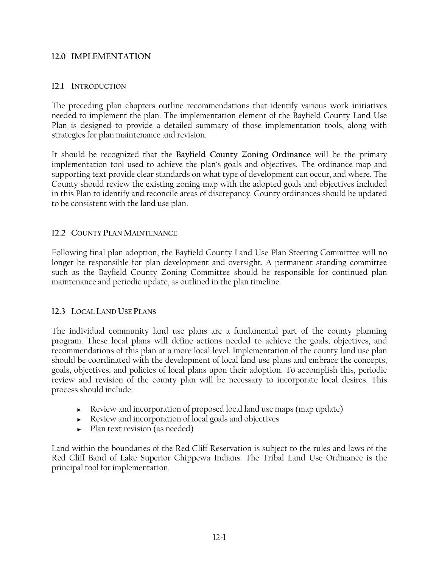### **12.0 IMPLEMENTATION**

#### **12.1 INTRODUCTION**

The preceding plan chapters outline recommendations that identify various work initiatives needed to implement the plan. The implementation element of the Bayfield County Land Use Plan is designed to provide a detailed summary of those implementation tools, along with strategies for plan maintenance and revision.

It should be recognized that the **Bayfield County Zoning Ordinance** will be the primary implementation tool used to achieve the plan's goals and objectives. The ordinance map and supporting text provide clear standards on what type of development can occur, and where. The County should review the existing zoning map with the adopted goals and objectives included in this Plan to identify and reconcile areas of discrepancy. County ordinances should be updated to be consistent with the land use plan.

## **12.2 COUNTY PLAN MAINTENANCE**

Following final plan adoption, the Bayfield County Land Use Plan Steering Committee will no longer be responsible for plan development and oversight. A permanent standing committee such as the Bayfield County Zoning Committee should be responsible for continued plan maintenance and periodic update, as outlined in the plan timeline.

#### **12.3 LOCAL LAND USE PLANS**

The individual community land use plans are a fundamental part of the county planning program. These local plans will define actions needed to achieve the goals, objectives, and recommendations of this plan at a more local level. Implementation of the county land use plan should be coordinated with the development of local land use plans and embrace the concepts, goals, objectives, and policies of local plans upon their adoption. To accomplish this, periodic review and revision of the county plan will be necessary to incorporate local desires. This process should include:

- ► Review and incorporation of proposed local land use maps (map update)
- ► Review and incorporation of local goals and objectives
- ► Plan text revision (as needed)

Land within the boundaries of the Red Cliff Reservation is subject to the rules and laws of the Red Cliff Band of Lake Superior Chippewa Indians. The Tribal Land Use Ordinance is the principal tool for implementation.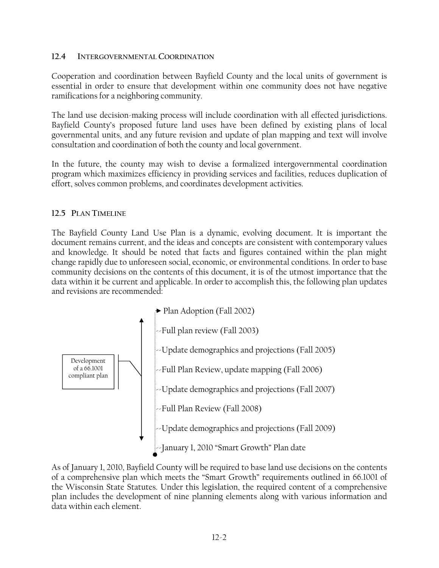### **12.4 INTERGOVERNMENTAL COORDINATION**

Cooperation and coordination between Bayfield County and the local units of government is essential in order to ensure that development within one community does not have negative ramifications for a neighboring community.

The land use decision-making process will include coordination with all effected jurisdictions. Bayfield County's proposed future land uses have been defined by existing plans of local governmental units, and any future revision and update of plan mapping and text will involve consultation and coordination of both the county and local government.

In the future, the county may wish to devise a formalized intergovernmental coordination program which maximizes efficiency in providing services and facilities, reduces duplication of effort, solves common problems, and coordinates development activities.

## **12.5 PLAN TIMELINE**

The Bayfield County Land Use Plan is a dynamic, evolving document. It is important the document remains current, and the ideas and concepts are consistent with contemporary values and knowledge. It should be noted that facts and figures contained within the plan might change rapidly due to unforeseen social, economic, or environmental conditions. In order to base community decisions on the contents of this document, it is of the utmost importance that the data within it be current and applicable. In order to accomplish this, the following plan updates and revisions are recommended:



As of January 1, 2010, Bayfield County will be required to base land use decisions on the contents of a comprehensive plan which meets the "Smart Growth" requirements outlined in 66.1001 of the Wisconsin State Statutes. Under this legislation, the required content of a comprehensive plan includes the development of nine planning elements along with various information and data within each element.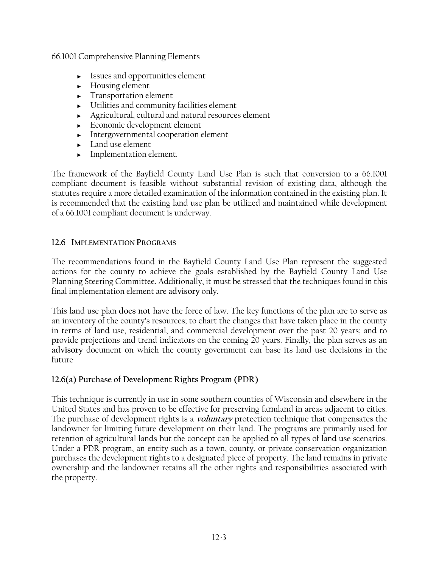66.1001 Comprehensive Planning Elements

- ► Issues and opportunities element
- ► Housing element
- ► Transportation element
- ► Utilities and community facilities element
- ► Agricultural, cultural and natural resources element
- ► Economic development element
- ► Intergovernmental cooperation element
- ► Land use element
- ► Implementation element.

The framework of the Bayfield County Land Use Plan is such that conversion to a 66.1001 compliant document is feasible without substantial revision of existing data, although the statutes require a more detailed examination of the information contained in the existing plan. It is recommended that the existing land use plan be utilized and maintained while development of a 66.1001 compliant document is underway.

# **12.6 IMPLEMENTATION PROGRAMS**

The recommendations found in the Bayfield County Land Use Plan represent the suggested actions for the county to achieve the goals established by the Bayfield County Land Use Planning Steering Committee. Additionally, it must be stressed that the techniques found in this final implementation element are **advisory** only.

This land use plan **does not** have the force of law. The key functions of the plan are to serve as an inventory of the county's resources; to chart the changes that have taken place in the county in terms of land use, residential, and commercial development over the past 20 years; and to provide projections and trend indicators on the coming 20 years. Finally, the plan serves as an **advisory** document on which the county government can base its land use decisions in the future

# **12.6(a) Purchase of Development Rights Program (PDR)**

This technique is currently in use in some southern counties of Wisconsin and elsewhere in the United States and has proven to be effective for preserving farmland in areas adjacent to cities. The purchase of development rights is a **voluntary** protection technique that compensates the landowner for limiting future development on their land. The programs are primarily used for retention of agricultural lands but the concept can be applied to all types of land use scenarios. Under a PDR program, an entity such as a town, county, or private conservation organization purchases the development rights to a designated piece of property. The land remains in private ownership and the landowner retains all the other rights and responsibilities associated with the property.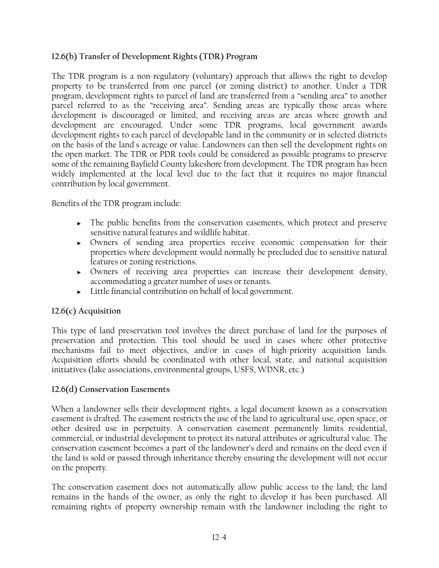# **12.6(b) Transfer of Development Rights (TDR) Program**

The TDR program is a non-regulatory (voluntary) approach that allows the right to develop property to be transferred from one parcel (or zoning district) to another. Under a TDR program, development rights to parcel of land are transferred from a "sending area" to another parcel referred to as the "receiving area". Sending areas are typically those areas where development is discouraged or limited, and receiving areas are areas where growth and development are encouraged. Under some TDR programs, local government awards development rights to each parcel of developable land in the community or in selected districts on the basis of the land's acreage or value. Landowners can then sell the development rights on the open market. The TDR or PDR tools could be considered as possible programs to preserve some of the remaining Bayfield County lakeshore from development. The TDR program has been widely implemented at the local level due to the fact that it requires no major financial contribution by local government.

Benefits of the TDR program include:

- ► The public benefits from the conservation easements, which protect and preserve sensitive natural features and wildlife habitat.
- ► Owners of sending area properties receive economic compensation for their properties where development would normally be precluded due to sensitive natural features or zoning restrictions.
- ► Owners of receiving area properties can increase their development density, accommodating a greater number of uses or tenants.
- ► Little financial contribution on behalf of local government.

# **12.6(c) Acquisition**

This type of land preservation tool involves the direct purchase of land for the purposes of preservation and protection. This tool should be used in cases where other protective mechanisms fail to meet objectives, and/or in cases of high-priority acquisition lands. Acquisition efforts should be coordinated with other local, state, and national acquisition initiatives (lake associations, environmental groups, USFS, WDNR, etc.)

## **12.6(d) Conservation Easements**

When a landowner sells their development rights, a legal document known as a conservation easement is drafted. The easement restricts the use of the land to agricultural use, open space, or other desired use in perpetuity. A conservation easement permanently limits residential, commercial, or industrial development to protect its natural attributes or agricultural value. The conservation easement becomes a part of the landowner's deed and remains on the deed even if the land is sold or passed through inheritance thereby ensuring the development will not occur on the property.

The conservation easement does not automatically allow public access to the land; the land remains in the hands of the owner, as only the right to develop it has been purchased. All remaining rights of property ownership remain with the landowner including the right to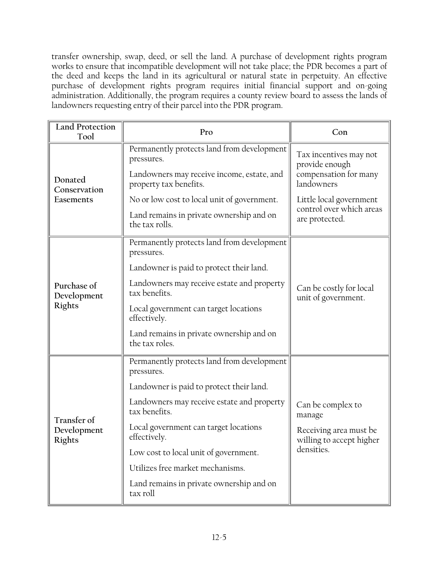transfer ownership, swap, deed, or sell the land. A purchase of development rights program works to ensure that incompatible development will not take place; the PDR becomes a part of the deed and keeps the land in its agricultural or natural state in perpetuity. An effective purchase of development rights program requires initial financial support and on-going administration. Additionally, the program requires a county review board to assess the lands of landowners requesting entry of their parcel into the PDR program.

| <b>Land Protection</b><br>Tool       | Pro                                                                                                                              | Con                                                                             |
|--------------------------------------|----------------------------------------------------------------------------------------------------------------------------------|---------------------------------------------------------------------------------|
| Donated<br>Conservation<br>Easements | Permanently protects land from development<br>pressures.<br>Landowners may receive income, estate, and<br>property tax benefits. | Tax incentives may not<br>provide enough<br>compensation for many<br>landowners |
|                                      | No or low cost to local unit of government.<br>Land remains in private ownership and on                                          | Little local government<br>control over which areas<br>are protected.           |
|                                      | the tax rolls.                                                                                                                   |                                                                                 |
| Purchase of<br>Development<br>Rights | Permanently protects land from development<br>pressures.                                                                         | Can be costly for local<br>unit of government.                                  |
|                                      | Landowner is paid to protect their land.                                                                                         |                                                                                 |
|                                      | Landowners may receive estate and property<br>tax benefits.                                                                      |                                                                                 |
|                                      | Local government can target locations<br>effectively.                                                                            |                                                                                 |
|                                      | Land remains in private ownership and on<br>the tax roles.                                                                       |                                                                                 |
| Transfer of<br>Development<br>Rights | Permanently protects land from development<br>pressures.                                                                         |                                                                                 |
|                                      | Landowner is paid to protect their land.                                                                                         |                                                                                 |
|                                      | Landowners may receive estate and property<br>tax benefits.                                                                      | Can be complex to<br>manage                                                     |
|                                      | Local government can target locations<br>effectively.                                                                            | Receiving area must be<br>willing to accept higher<br>densities.                |
|                                      | Low cost to local unit of government.                                                                                            |                                                                                 |
|                                      | Utilizes free market mechanisms.                                                                                                 |                                                                                 |
|                                      | Land remains in private ownership and on<br>tax roll                                                                             |                                                                                 |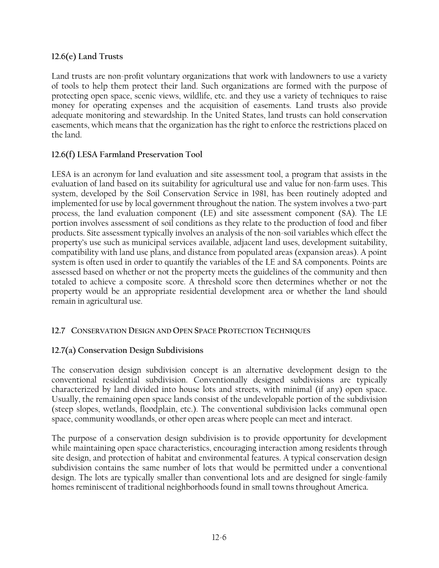## **12.6(e) Land Trusts**

Land trusts are non-profit voluntary organizations that work with landowners to use a variety of tools to help them protect their land. Such organizations are formed with the purpose of protecting open space, scenic views, wildlife, etc. and they use a variety of techniques to raise money for operating expenses and the acquisition of easements. Land trusts also provide adequate monitoring and stewardship. In the United States, land trusts can hold conservation easements, which means that the organization has the right to enforce the restrictions placed on the land.

## **12.6(f) LESA Farmland Preservation Tool**

LESA is an acronym for land evaluation and site assessment tool, a program that assists in the evaluation of land based on its suitability for agricultural use and value for non-farm uses. This system, developed by the Soil Conservation Service in 1981, has been routinely adopted and implemented for use by local government throughout the nation. The system involves a two-part process, the land evaluation component (LE) and site assessment component (SA). The LE portion involves assessment of soil conditions as they relate to the production of food and fiber products. Site assessment typically involves an analysis of the non-soil variables which effect the property's use such as municipal services available, adjacent land uses, development suitability, compatibility with land use plans, and distance from populated areas (expansion areas). A point system is often used in order to quantify the variables of the LE and SA components. Points are assessed based on whether or not the property meets the guidelines of the community and then totaled to achieve a composite score. A threshold score then determines whether or not the property would be an appropriate residential development area or whether the land should remain in agricultural use.

## **12.7 CONSERVATION DESIGN AND OPEN SPACE PROTECTION TECHNIQUES**

## **12.7(a) Conservation Design Subdivisions**

The conservation design subdivision concept is an alternative development design to the conventional residential subdivision. Conventionally designed subdivisions are typically characterized by land divided into house lots and streets, with minimal (if any) open space. Usually, the remaining open space lands consist of the undevelopable portion of the subdivision (steep slopes, wetlands, floodplain, etc.). The conventional subdivision lacks communal open space, community woodlands, or other open areas where people can meet and interact.

The purpose of a conservation design subdivision is to provide opportunity for development while maintaining open space characteristics, encouraging interaction among residents through site design, and protection of habitat and environmental features. A typical conservation design subdivision contains the same number of lots that would be permitted under a conventional design. The lots are typically smaller than conventional lots and are designed for single-family homes reminiscent of traditional neighborhoods found in small towns throughout America.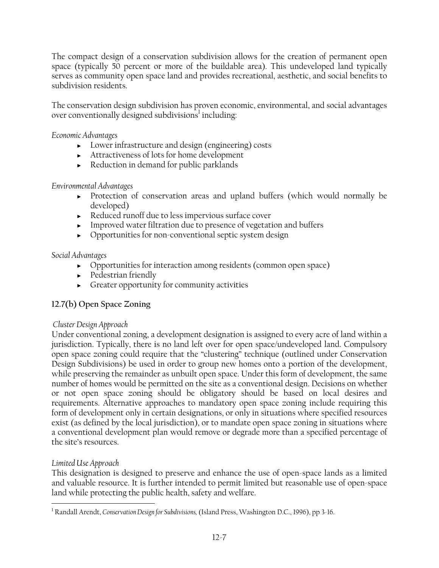The compact design of a conservation subdivision allows for the creation of permanent open space (typically 50 percent or more of the buildable area). This undeveloped land typically serves as community open space land and provides recreational, aesthetic, and social benefits to subdivision residents.

The conservation design subdivision has proven economic, environmental, and social advantages over conventionally designed subdivisions<sup>1</sup> including:

*Economic Advantages* 

- ► Lower infrastructure and design (engineering) costs
- ► Attractiveness of lots for home development
- ► Reduction in demand for public parklands

## *Environmental Advantages*

- ► Protection of conservation areas and upland buffers (which would normally be developed)
- ► Reduced runoff due to less impervious surface cover
- ► Improved water filtration due to presence of vegetation and buffers
- ► Opportunities for non-conventional septic system design

## *Social Advantages*

- ► Opportunities for interaction among residents (common open space)
- ► Pedestrian friendly
- ► Greater opportunity for community activities

# **12.7(b) Open Space Zoning**

## *Cluster Design Approach*

Under conventional zoning, a development designation is assigned to every acre of land within a jurisdiction. Typically, there is no land left over for open space/undeveloped land. Compulsory open space zoning could require that the "clustering" technique (outlined under Conservation Design Subdivisions) be used in order to group new homes onto a portion of the development, while preserving the remainder as unbuilt open space. Under this form of development, the same number of homes would be permitted on the site as a conventional design. Decisions on whether or not open space zoning should be obligatory should be based on local desires and requirements. Alternative approaches to mandatory open space zoning include requiring this form of development only in certain designations, or only in situations where specified resources exist (as defined by the local jurisdiction), or to mandate open space zoning in situations where a conventional development plan would remove or degrade more than a specified percentage of the site's resources.

## *Limited Use Approach*

 $\overline{a}$ 

This designation is designed to preserve and enhance the use of open-space lands as a limited and valuable resource. It is further intended to permit limited but reasonable use of open-space land while protecting the public health, safety and welfare.

<sup>1</sup> Randall Arendt, *Conservation Design for Subdivisions,* (Island Press, Washington D.C., 1996), pp 3-16.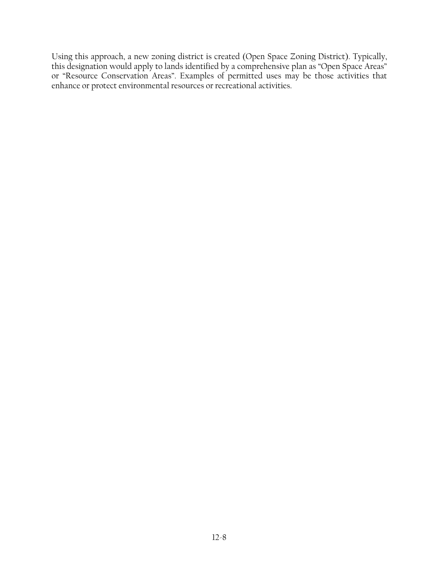Using this approach, a new zoning district is created (Open Space Zoning District). Typically, this designation would apply to lands identified by a comprehensive plan as "Open Space Areas" or "Resource Conservation Areas". Examples of permitted uses may be those activities that enhance or protect environmental resources or recreational activities.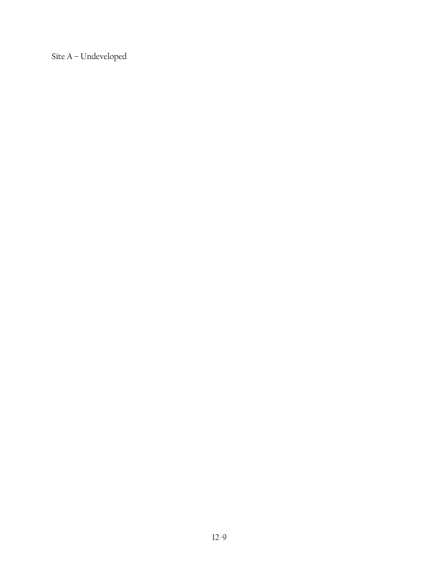Site A – Undeveloped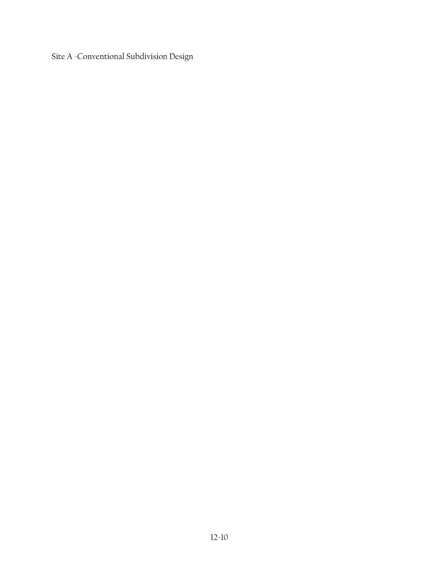Site A -Conventional Subdivision Design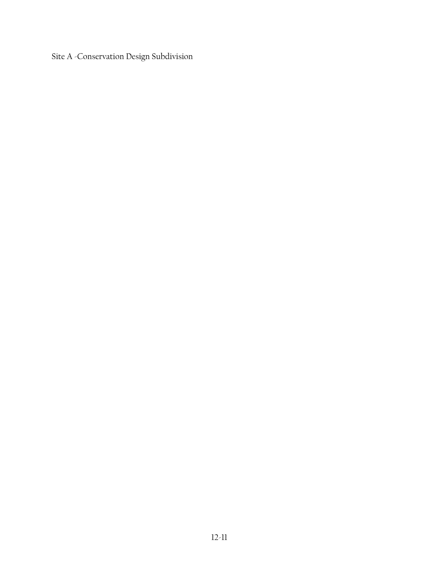Site A -Conservation Design Subdivision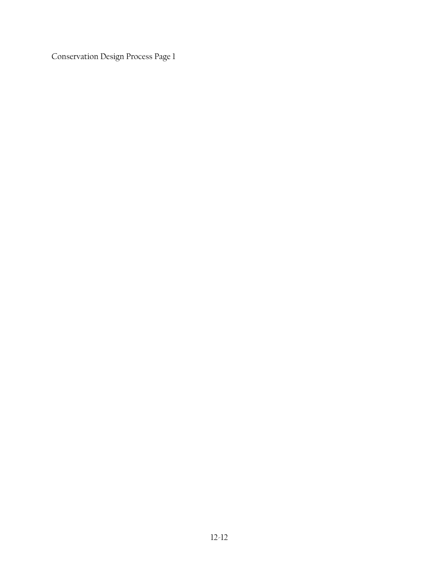Conservation Design Process Page 1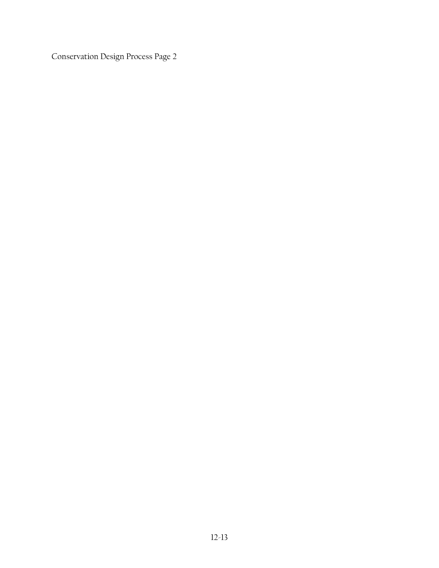Conservation Design Process Page 2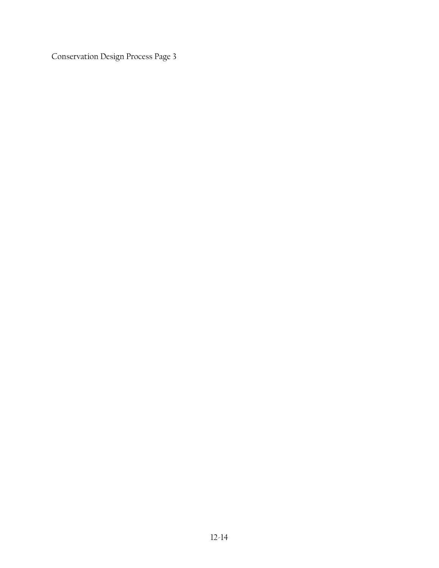Conservation Design Process Page 3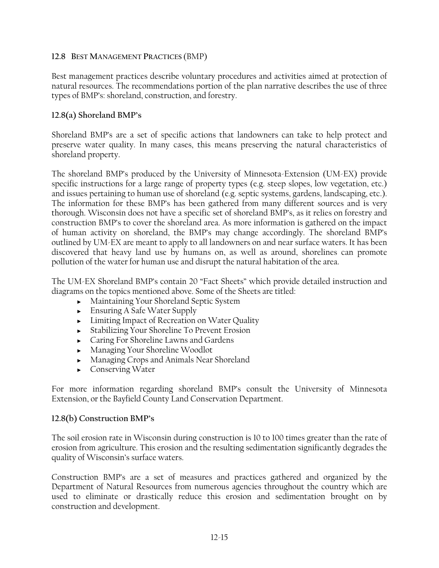### **12.8 BEST MANAGEMENT PRACTICES** (BMP)

Best management practices describe voluntary procedures and activities aimed at protection of natural resources. The recommendations portion of the plan narrative describes the use of three types of BMP's: shoreland, construction, and forestry.

### **12.8(a) Shoreland BMP's**

Shoreland BMP's are a set of specific actions that landowners can take to help protect and preserve water quality. In many cases, this means preserving the natural characteristics of shoreland property.

The shoreland BMP's produced by the University of Minnesota-Extension (UM-EX) provide specific instructions for a large range of property types (e.g. steep slopes, low vegetation, etc.) and issues pertaining to human use of shoreland (e.g. septic systems, gardens, landscaping, etc.). The information for these BMP's has been gathered from many different sources and is very thorough. Wisconsin does not have a specific set of shoreland BMP's, as it relies on forestry and construction BMP's to cover the shoreland area. As more information is gathered on the impact of human activity on shoreland, the BMP's may change accordingly. The shoreland BMP's outlined by UM-EX are meant to apply to all landowners on and near surface waters. It has been discovered that heavy land use by humans on, as well as around, shorelines can promote pollution of the water for human use and disrupt the natural habitation of the area.

The UM-EX Shoreland BMP's contain 20 "Fact Sheets" which provide detailed instruction and diagrams on the topics mentioned above. Some of the Sheets are titled:

- ► Maintaining Your Shoreland Septic System
- ► Ensuring A Safe Water Supply
- ► Limiting Impact of Recreation on Water Quality
- ► Stabilizing Your Shoreline To Prevent Erosion
- ► Caring For Shoreline Lawns and Gardens
- ► Managing Your Shoreline Woodlot
- ► Managing Crops and Animals Near Shoreland
- ► Conserving Water

For more information regarding shoreland BMP's consult the University of Minnesota Extension, or the Bayfield County Land Conservation Department.

## **12.8(b) Construction BMP's**

The soil erosion rate in Wisconsin during construction is 10 to 100 times greater than the rate of erosion from agriculture. This erosion and the resulting sedimentation significantly degrades the quality of Wisconsin's surface waters.

Construction BMP's are a set of measures and practices gathered and organized by the Department of Natural Resources from numerous agencies throughout the country which are used to eliminate or drastically reduce this erosion and sedimentation brought on by construction and development.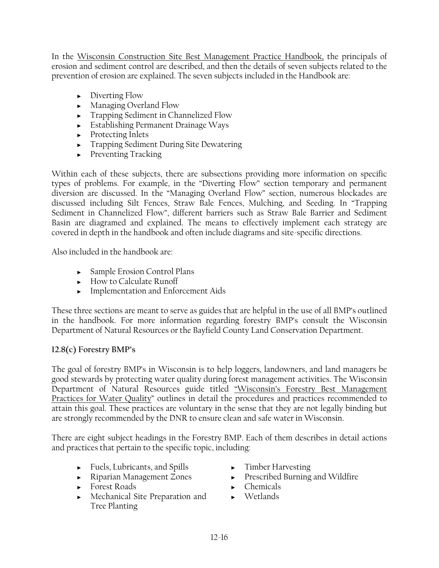In the Wisconsin Construction Site Best Management Practice Handbook, the principals of erosion and sediment control are described, and then the details of seven subjects related to the prevention of erosion are explained. The seven subjects included in the Handbook are:

- ► Diverting Flow
- ► Managing Overland Flow
- ► Trapping Sediment in Channelized Flow
- ► Establishing Permanent Drainage Ways
- ► Protecting Inlets
- ► Trapping Sediment During Site Dewatering
- ► Preventing Tracking

Within each of these subjects, there are subsections providing more information on specific types of problems. For example, in the "Diverting Flow" section temporary and permanent diversion are discussed. In the "Managing Overland Flow" section, numerous blockades are discussed including Silt Fences, Straw Bale Fences, Mulching, and Seeding. In "Trapping Sediment in Channelized Flow", different barriers such as Straw Bale Barrier and Sediment Basin are diagramed and explained. The means to effectively implement each strategy are covered in depth in the handbook and often include diagrams and site-specific directions.

Also included in the handbook are:

- ► Sample Erosion Control Plans
- ► How to Calculate Runoff
- ► Implementation and Enforcement Aids

These three sections are meant to serve as guides that are helpful in the use of all BMP's outlined in the handbook. For more information regarding forestry BMP's consult the Wisconsin Department of Natural Resources or the Bayfield County Land Conservation Department.

# **12.8(c) Forestry BMP's**

The goal of forestry BMP's in Wisconsin is to help loggers, landowners, and land managers be good stewards by protecting water quality during forest management activities. The Wisconsin Department of Natural Resources guide titled "Wisconsin's Forestry Best Management Practices for Water Quality" outlines in detail the procedures and practices recommended to attain this goal. These practices are voluntary in the sense that they are not legally binding but are strongly recommended by the DNR to ensure clean and safe water in Wisconsin.

There are eight subject headings in the Forestry BMP. Each of them describes in detail actions and practices that pertain to the specific topic, including:

- ► Fuels, Lubricants, and Spills
- ► Riparian Management Zones
- ► Forest Roads
- ► Mechanical Site Preparation and Tree Planting
- ► Timber Harvesting
- ► Prescribed Burning and Wildfire
- ► Chemicals
- ► Wetlands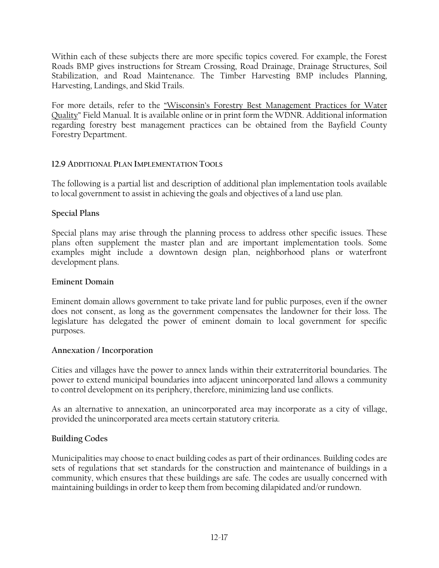Within each of these subjects there are more specific topics covered. For example, the Forest Roads BMP gives instructions for Stream Crossing, Road Drainage, Drainage Structures, Soil Stabilization, and Road Maintenance. The Timber Harvesting BMP includes Planning, Harvesting, Landings, and Skid Trails.

For more details, refer to the "Wisconsin's Forestry Best Management Practices for Water Quality" Field Manual. It is available online or in print form the WDNR. Additional information regarding forestry best management practices can be obtained from the Bayfield County Forestry Department.

## **12.9 ADDITIONAL PLAN IMPLEMENTATION TOOLS**

The following is a partial list and description of additional plan implementation tools available to local government to assist in achieving the goals and objectives of a land use plan.

## **Special Plans**

Special plans may arise through the planning process to address other specific issues. These plans often supplement the master plan and are important implementation tools. Some examples might include a downtown design plan, neighborhood plans or waterfront development plans.

## **Eminent Domain**

Eminent domain allows government to take private land for public purposes, even if the owner does not consent, as long as the government compensates the landowner for their loss. The legislature has delegated the power of eminent domain to local government for specific purposes.

## **Annexation / Incorporation**

Cities and villages have the power to annex lands within their extraterritorial boundaries. The power to extend municipal boundaries into adjacent unincorporated land allows a community to control development on its periphery, therefore, minimizing land use conflicts.

As an alternative to annexation, an unincorporated area may incorporate as a city of village, provided the unincorporated area meets certain statutory criteria.

## **Building Codes**

Municipalities may choose to enact building codes as part of their ordinances. Building codes are sets of regulations that set standards for the construction and maintenance of buildings in a community, which ensures that these buildings are safe. The codes are usually concerned with maintaining buildings in order to keep them from becoming dilapidated and/or rundown.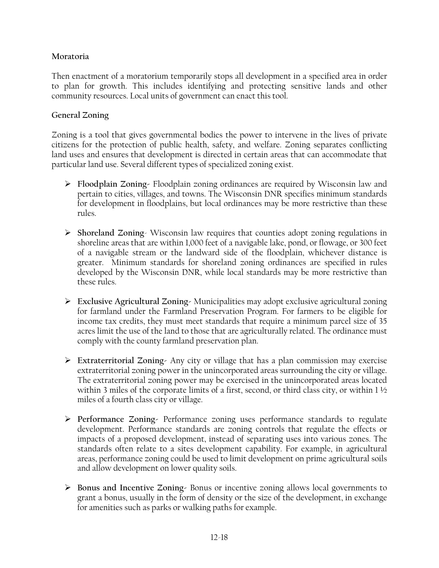## **Moratoria**

Then enactment of a moratorium temporarily stops all development in a specified area in order to plan for growth. This includes identifying and protecting sensitive lands and other community resources. Local units of government can enact this tool.

### **General Zoning**

Zoning is a tool that gives governmental bodies the power to intervene in the lives of private citizens for the protection of public health, safety, and welfare. Zoning separates conflicting land uses and ensures that development is directed in certain areas that can accommodate that particular land use. Several different types of specialized zoning exist.

- ¾ **Floodplain Zoning-** Floodplain zoning ordinances are required by Wisconsin law and pertain to cities, villages, and towns. The Wisconsin DNR specifies minimum standards for development in floodplains, but local ordinances may be more restrictive than these rules.
- ¾ **Shoreland Zoning** Wisconsin law requires that counties adopt zoning regulations in shoreline areas that are within 1,000 feet of a navigable lake, pond, or flowage, or 300 feet of a navigable stream or the landward side of the floodplain, whichever distance is greater. Minimum standards for shoreland zoning ordinances are specified in rules developed by the Wisconsin DNR, while local standards may be more restrictive than these rules.
- ¾ **Exclusive Agricultural Zoning-** Municipalities may adopt exclusive agricultural zoning for farmland under the Farmland Preservation Program. For farmers to be eligible for income tax credits, they must meet standards that require a minimum parcel size of 35 acres limit the use of the land to those that are agriculturally related. The ordinance must comply with the county farmland preservation plan.
- ¾ **Extraterritorial Zoning-** Any city or village that has a plan commission may exercise extraterritorial zoning power in the unincorporated areas surrounding the city or village. The extraterritorial zoning power may be exercised in the unincorporated areas located within 3 miles of the corporate limits of a first, second, or third class city, or within  $1\frac{1}{2}$ miles of a fourth class city or village.
- ¾ **Performance Zoning-** Performance zoning uses performance standards to regulate development. Performance standards are zoning controls that regulate the effects or impacts of a proposed development, instead of separating uses into various zones. The standards often relate to a sites development capability. For example, in agricultural areas, performance zoning could be used to limit development on prime agricultural soils and allow development on lower quality soils.
- ¾ **Bonus and Incentive Zoning-** Bonus or incentive zoning allows local governments to grant a bonus, usually in the form of density or the size of the development, in exchange for amenities such as parks or walking paths for example.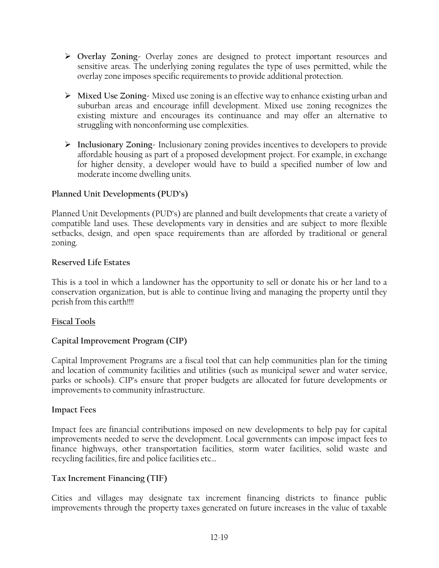- ¾ **Overlay Zoning-** Overlay zones are designed to protect important resources and sensitive areas. The underlying zoning regulates the type of uses permitted, while the overlay zone imposes specific requirements to provide additional protection.
- ¾ **Mixed Use Zoning-** Mixed use zoning is an effective way to enhance existing urban and suburban areas and encourage infill development. Mixed use zoning recognizes the existing mixture and encourages its continuance and may offer an alternative to struggling with nonconforming use complexities.
- ¾ **Inclusionary Zoning-** Inclusionary zoning provides incentives to developers to provide affordable housing as part of a proposed development project. For example, in exchange for higher density, a developer would have to build a specified number of low and moderate income dwelling units.

## **Planned Unit Developments (PUD's)**

Planned Unit Developments (PUD's) are planned and built developments that create a variety of compatible land uses. These developments vary in densities and are subject to more flexible setbacks, design, and open space requirements than are afforded by traditional or general zoning.

### **Reserved Life Estates**

This is a tool in which a landowner has the opportunity to sell or donate his or her land to a conservation organization, but is able to continue living and managing the property until they perish from this earth!!!!

## **Fiscal Tools**

## **Capital Improvement Program (CIP)**

Capital Improvement Programs are a fiscal tool that can help communities plan for the timing and location of community facilities and utilities (such as municipal sewer and water service, parks or schools). CIP's ensure that proper budgets are allocated for future developments or improvements to community infrastructure.

#### **Impact Fees**

Impact fees are financial contributions imposed on new developments to help pay for capital improvements needed to serve the development. Local governments can impose impact fees to finance highways, other transportation facilities, storm water facilities, solid waste and recycling facilities, fire and police facilities etc…

## **Tax Increment Financing (TIF)**

Cities and villages may designate tax increment financing districts to finance public improvements through the property taxes generated on future increases in the value of taxable